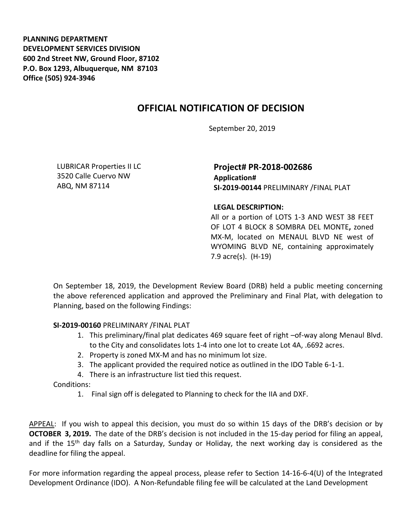**PLANNING DEPARTMENT DEVELOPMENT SERVICES DIVISION 600 2nd Street NW, Ground Floor, 87102 P.O. Box 1293, Albuquerque, NM 87103 Office (505) 924-3946** 

## **OFFICIAL NOTIFICATION OF DECISION**

September 20, 2019

LUBRICAR Properties II LC 3520 Calle Cuervo NW ABQ, NM 87114

**Project# PR-2018-002686 Application# SI-2019-00144** PRELIMINARY /FINAL PLAT

## **LEGAL DESCRIPTION:**

All or a portion of LOTS 1-3 AND WEST 38 FEET OF LOT 4 BLOCK 8 SOMBRA DEL MONTE**,** zoned MX-M, located on MENAUL BLVD NE west of WYOMING BLVD NE, containing approximately 7.9 acre(s). (H-19)

On September 18, 2019, the Development Review Board (DRB) held a public meeting concerning the above referenced application and approved the Preliminary and Final Plat, with delegation to Planning, based on the following Findings:

**SI-2019-00160** PRELIMINARY /FINAL PLAT

- 1. This preliminary/final plat dedicates 469 square feet of right –of-way along Menaul Blvd. to the City and consolidates lots 1-4 into one lot to create Lot 4A, .6692 acres.
- 2. Property is zoned MX-M and has no minimum lot size.
- 3. The applicant provided the required notice as outlined in the IDO Table 6-1-1.
- 4. There is an infrastructure list tied this request.

Conditions:

1. Final sign off is delegated to Planning to check for the IIA and DXF.

APPEAL: If you wish to appeal this decision, you must do so within 15 days of the DRB's decision or by **OCTOBER 3, 2019.** The date of the DRB's decision is not included in the 15-day period for filing an appeal, and if the 15<sup>th</sup> day falls on a Saturday, Sunday or Holiday, the next working day is considered as the deadline for filing the appeal.

For more information regarding the appeal process, please refer to Section 14-16-6-4(U) of the Integrated Development Ordinance (IDO). A Non-Refundable filing fee will be calculated at the Land Development